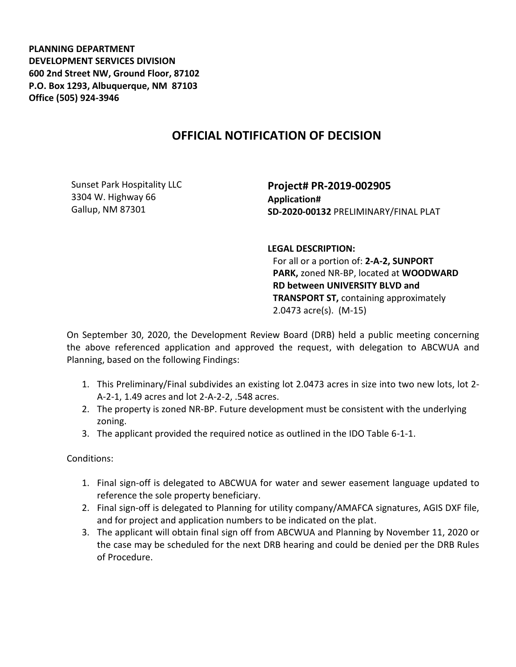**PLANNING DEPARTMENT DEVELOPMENT SERVICES DIVISION 600 2nd Street NW, Ground Floor, 87102 P.O. Box 1293, Albuquerque, NM 87103 Office (505) 924-3946** 

## **OFFICIAL NOTIFICATION OF DECISION**

Sunset Park Hospitality LLC 3304 W. Highway 66 Gallup, NM 87301

**Project# PR-2019-002905 Application# SD-2020-00132** PRELIMINARY/FINAL PLAT

**LEGAL DESCRIPTION:**

For all or a portion of: **2-A-2, SUNPORT PARK,** zoned NR-BP, located at **WOODWARD RD between UNIVERSITY BLVD and TRANSPORT ST,** containing approximately 2.0473 acre(s). (M-15)

On September 30, 2020, the Development Review Board (DRB) held a public meeting concerning the above referenced application and approved the request, with delegation to ABCWUA and Planning, based on the following Findings:

- 1. This Preliminary/Final subdivides an existing lot 2.0473 acres in size into two new lots, lot 2- A-2-1, 1.49 acres and lot 2-A-2-2, .548 acres.
- 2. The property is zoned NR-BP. Future development must be consistent with the underlying zoning.
- 3. The applicant provided the required notice as outlined in the IDO Table 6-1-1.

Conditions:

- 1. Final sign-off is delegated to ABCWUA for water and sewer easement language updated to reference the sole property beneficiary.
- 2. Final sign-off is delegated to Planning for utility company/AMAFCA signatures, AGIS DXF file, and for project and application numbers to be indicated on the plat.
- 3. The applicant will obtain final sign off from ABCWUA and Planning by November 11, 2020 or the case may be scheduled for the next DRB hearing and could be denied per the DRB Rules of Procedure.